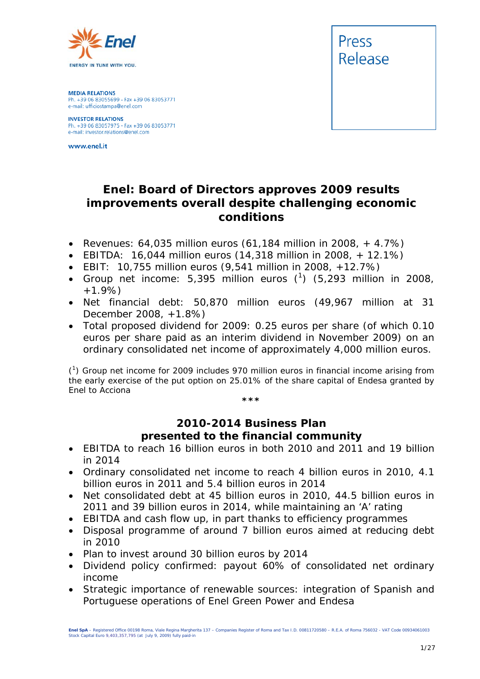

**MEDIA RELATIONS** Ph. +39 06 83055699 - Fax +39 06 83053771 e-mail: ufficiostampa@enel.com

**INVESTOR RELATIONS**<br>Ph. +39 06 83057975 - Fax +39 06 83053771 e-mail: investor.relations@enel.com

www.enel.it



## **Enel: Board of Directors approves 2009 results improvements overall despite challenging economic conditions**

- *Revenues: 64,035 million euros (61,184 million in 2008, + 4.7%)*
- *EBITDA: 16,044 million euros (14,318 million in 2008, + 12.1%)*
- *EBIT: 10,755 million euros (9,541 million in 2008, +12.7%)*
- *Group net income: 5,395 million euros (1 ) (5,293 million in 2008, +1.9%)*
- *Net financial debt: 50,870 million euros (49,967 million at 31 December 2008, +1.8%)*
- *Total proposed dividend for 2009: 0.25 euros per share (of which 0.10 euros per share paid as an interim dividend in November 2009) on an ordinary consolidated net income of approximately 4,000 million euros.*

(1 ) Group net income for 2009 includes 970 million euros in financial income arising from the early exercise of the put option on 25.01% of the share capital of Endesa granted by Enel to Acciona *\*\*\**

## **2010-2014 Business Plan presented to the financial community**

- *EBITDA to reach 16 billion euros in both 2010 and 2011 and 19 billion in 2014*
- *Ordinary consolidated net income to reach 4 billion euros in 2010, 4.1 billion euros in 2011 and 5.4 billion euros in 2014*
- *Net consolidated debt at 45 billion euros in 2010, 44.5 billion euros in 2011 and 39 billion euros in 2014, while maintaining an 'A' rating*
- *EBITDA and cash flow up, in part thanks to efficiency programmes*
- *Disposal programme of around 7 billion euros aimed at reducing debt in 2010*
- *Plan to invest around 30 billion euros by 2014*
- *Dividend policy confirmed: payout 60% of consolidated net ordinary income*
- *Strategic importance of renewable sources: integration of Spanish and Portuguese operations of Enel Green Power and Endesa*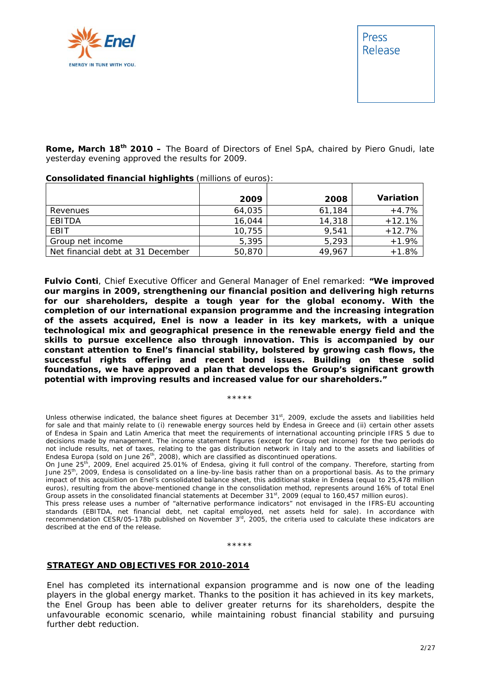

**Rome, March 18th 2010 –** The Board of Directors of Enel SpA, chaired by Piero Gnudi, late yesterday evening approved the results for 2009.

|                                   | 2009   | 2008   | Variation |
|-----------------------------------|--------|--------|-----------|
| Revenues                          | 64,035 | 61,184 | $+4.7%$   |
| EBITDA                            | 16,044 | 14,318 | $+12.1%$  |
| EBIT                              | 10,755 | 9,541  | $+12.7%$  |
| Group net income                  | 5,395  | 5,293  | $+1.9%$   |
| Net financial debt at 31 December | 50,870 | 49,967 | $+1.8%$   |

**Consolidated financial highlights** (millions of euros):

**Fulvio Conti**, Chief Executive Officer and General Manager of Enel remarked: **"We improved our margins in 2009, strengthening our financial position and delivering high returns for our shareholders, despite a tough year for the global economy. With the completion of our international expansion programme and the increasing integration of the assets acquired, Enel is now a leader in its key markets, with a unique technological mix and geographical presence in the renewable energy field and the skills to pursue excellence also through innovation. This is accompanied by our constant attention to Enel's financial stability, bolstered by growing cash flows, the successful rights offering and recent bond issues. Building on these solid foundations, we have approved a plan that develops the Group's significant growth potential with improving results and increased value for our shareholders."**

Unless otherwise indicated, the balance sheet figures at December 31st, 2009, exclude the assets and liabilities held for sale and that mainly relate to (i) renewable energy sources held by Endesa in Greece and (ii) certain other assets of Endesa in Spain and Latin America that meet the requirements of international accounting principle IFRS 5 due to decisions made by management. The income statement figures (except for Group net income) for the two periods do not include results, net of taxes, relating to the gas distribution network in Italy and to the assets and liabilities of Endesa Europa (sold on June 26<sup>th</sup>, 2008), which are classified as discontinued operations.

\*\*\*\*\*

On June 25th, 2009, Enel acquired 25.01% of Endesa, giving it full control of the company. Therefore, starting from June 25<sup>th</sup>, 2009, Endesa is consolidated on a line-by-line basis rather than on a proportional basis. As to the primary impact of this acquisition on Enel's consolidated balance sheet, this additional stake in Endesa (equal to 25,478 million euros), resulting from the above-mentioned change in the consolidation method, represents around 16% of total Enel Group assets in the consolidated financial statements at December  $31^{st}$ , 2009 (equal to 160,457 million euros).

This press release uses a number of "alternative performance indicators" not envisaged in the IFRS-EU accounting standards (EBITDA, net financial debt, net capital employed, net assets held for sale). In accordance with recommendation CESR/05-178b published on November 3rd, 2005, the criteria used to calculate these indicators are described at the end of the release.

\*\*\*\*\*

#### **STRATEGY AND OBJECTIVES FOR 2010-2014**

Enel has completed its international expansion programme and is now one of the leading players in the global energy market. Thanks to the position it has achieved in its key markets, the Enel Group has been able to deliver greater returns for its shareholders, despite the unfavourable economic scenario, while maintaining robust financial stability and pursuing further debt reduction.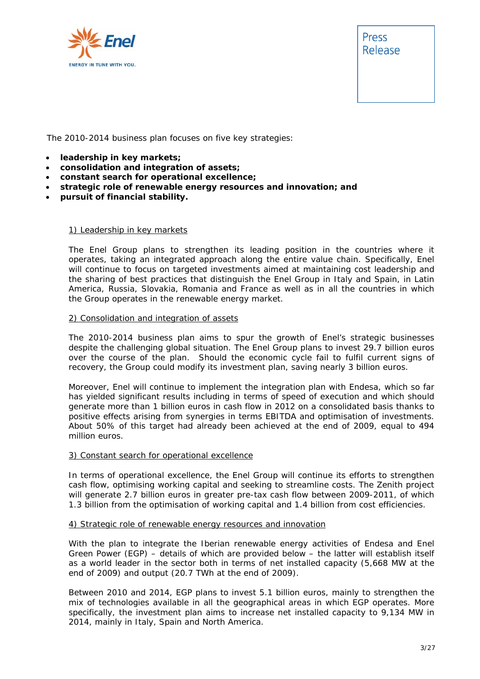

Press Release

The 2010-2014 business plan focuses on five key strategies:

- **leadership in key markets;**
- **consolidation and integration of assets;**
- **constant search for operational excellence;**
- **strategic role of renewable energy resources and innovation; and**
- **pursuit of financial stability.**

#### 1) Leadership in key markets

The Enel Group plans to strengthen its leading position in the countries where it operates, taking an integrated approach along the entire value chain. Specifically, Enel will continue to focus on targeted investments aimed at maintaining cost leadership and the sharing of best practices that distinguish the Enel Group in Italy and Spain, in Latin America, Russia, Slovakia, Romania and France as well as in all the countries in which the Group operates in the renewable energy market.

#### 2) Consolidation and integration of assets

The 2010-2014 business plan aims to spur the growth of Enel's strategic businesses despite the challenging global situation. The Enel Group plans to invest 29.7 billion euros over the course of the plan. Should the economic cycle fail to fulfil current signs of recovery, the Group could modify its investment plan, saving nearly 3 billion euros.

Moreover, Enel will continue to implement the integration plan with Endesa, which so far has yielded significant results including in terms of speed of execution and which should generate more than 1 billion euros in cash flow in 2012 on a consolidated basis thanks to positive effects arising from synergies in terms EBITDA and optimisation of investments. About 50% of this target had already been achieved at the end of 2009, equal to 494 million euros.

#### 3) Constant search for operational excellence

In terms of operational excellence, the Enel Group will continue its efforts to strengthen cash flow, optimising working capital and seeking to streamline costs. The Zenith project will generate 2.7 billion euros in greater pre-tax cash flow between 2009-2011, of which 1.3 billion from the optimisation of working capital and 1.4 billion from cost efficiencies.

#### 4) Strategic role of renewable energy resources and innovation

With the plan to integrate the Iberian renewable energy activities of Endesa and Enel Green Power (EGP) – details of which are provided below – the latter will establish itself as a world leader in the sector both in terms of net installed capacity (5,668 MW at the end of 2009) and output (20.7 TWh at the end of 2009).

Between 2010 and 2014, EGP plans to invest 5.1 billion euros, mainly to strengthen the mix of technologies available in all the geographical areas in which EGP operates. More specifically, the investment plan aims to increase net installed capacity to 9,134 MW in 2014, mainly in Italy, Spain and North America.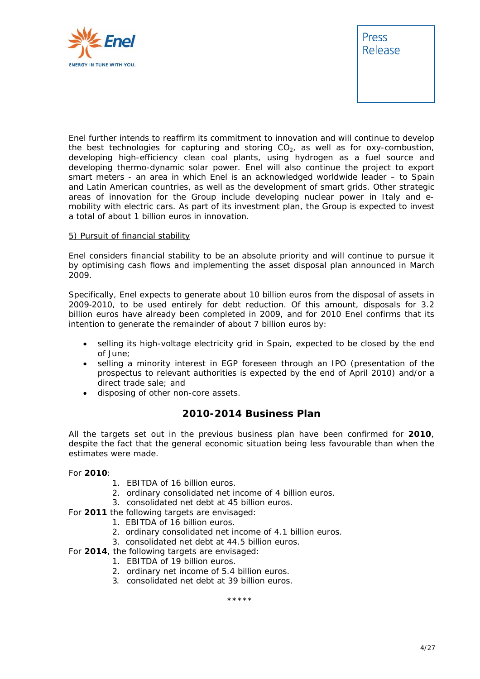



Enel further intends to reaffirm its commitment to innovation and will continue to develop the best technologies for capturing and storing  $CO<sub>2</sub>$ , as well as for oxy-combustion, developing high-efficiency clean coal plants, using hydrogen as a fuel source and developing thermo-dynamic solar power. Enel will also continue the project to export smart meters - an area in which Enel is an acknowledged worldwide leader – to Spain and Latin American countries, as well as the development of smart grids. Other strategic areas of innovation for the Group include developing nuclear power in Italy and emobility with electric cars. As part of its investment plan, the Group is expected to invest a total of about 1 billion euros in innovation.

#### 5) Pursuit of financial stability

Enel considers financial stability to be an absolute priority and will continue to pursue it by optimising cash flows and implementing the asset disposal plan announced in March 2009.

Specifically, Enel expects to generate about 10 billion euros from the disposal of assets in 2009-2010, to be used entirely for debt reduction. Of this amount, disposals for 3.2 billion euros have already been completed in 2009, and for 2010 Enel confirms that its intention to generate the remainder of about 7 billion euros by:

- selling its high-voltage electricity grid in Spain, expected to be closed by the end of June;
- selling a minority interest in EGP foreseen through an IPO (presentation of the prospectus to relevant authorities is expected by the end of April 2010) and/or a direct trade sale; and
- disposing of other non-core assets.

### **2010-2014 Business Plan**

All the targets set out in the previous business plan have been confirmed for **2010**, despite the fact that the general economic situation being less favourable than when the estimates were made.

#### For **2010**:

- 1. EBITDA of 16 billion euros.
- 2. ordinary consolidated net income of 4 billion euros.
- 3. consolidated net debt at 45 billion euros.
- For **2011** the following targets are envisaged:
	- 1. EBITDA of 16 billion euros.
	- 2. ordinary consolidated net income of 4.1 billion euros.
	- 3. consolidated net debt at 44.5 billion euros.
- For **2014**, the following targets are envisaged:
	- 1. EBITDA of 19 billion euros.
	- 2. ordinary net income of 5.4 billion euros.
	- 3. consolidated net debt at 39 billion euros.

\*\*\*\*\*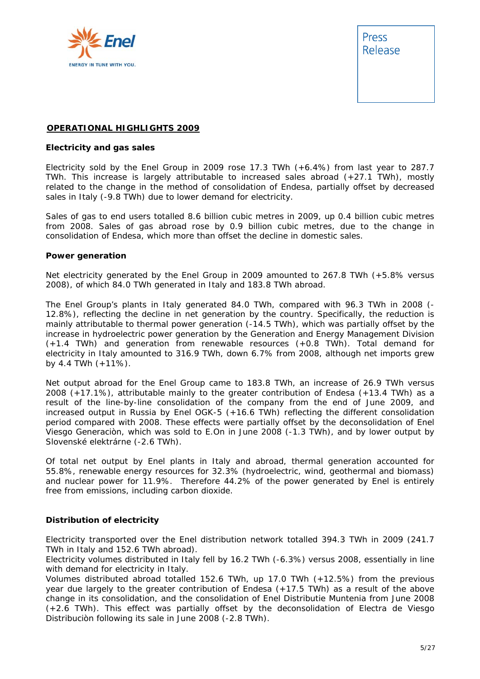

Press Release

#### **OPERATIONAL HIGHLIGHTS 2009**

#### **Electricity and gas sales**

Electricity sold by the Enel Group in 2009 rose 17.3 TWh (+6.4%) from last year to 287.7 TWh. This increase is largely attributable to increased sales abroad (+27.1 TWh), mostly related to the change in the method of consolidation of Endesa, partially offset by decreased sales in Italy (-9.8 TWh) due to lower demand for electricity.

Sales of gas to end users totalled 8.6 billion cubic metres in 2009, up 0.4 billion cubic metres from 2008. Sales of gas abroad rose by 0.9 billion cubic metres, due to the change in consolidation of Endesa, which more than offset the decline in domestic sales.

#### **Power generation**

Net electricity generated by the Enel Group in 2009 amounted to 267.8 TWh (+5.8% versus 2008), of which 84.0 TWh generated in Italy and 183.8 TWh abroad.

The Enel Group's plants in Italy generated 84.0 TWh, compared with 96.3 TWh in 2008 (- 12.8%), reflecting the decline in net generation by the country. Specifically, the reduction is mainly attributable to thermal power generation (-14.5 TWh), which was partially offset by the increase in hydroelectric power generation by the Generation and Energy Management Division (+1.4 TWh) and generation from renewable resources (+0.8 TWh). Total demand for electricity in Italy amounted to 316.9 TWh, down 6.7% from 2008, although net imports grew by 4.4 TWh (+11%).

Net output abroad for the Enel Group came to 183.8 TWh, an increase of 26.9 TWh versus 2008 (+17.1%), attributable mainly to the greater contribution of Endesa (+13.4 TWh) as a result of the line-by-line consolidation of the company from the end of June 2009, and increased output in Russia by Enel OGK-5 (+16.6 TWh) reflecting the different consolidation period compared with 2008. These effects were partially offset by the deconsolidation of Enel Viesgo Generaciòn, which was sold to E.On in June 2008 (-1.3 TWh), and by lower output by Slovenské elektrárne (-2.6 TWh).

Of total net output by Enel plants in Italy and abroad, thermal generation accounted for 55.8%, renewable energy resources for 32.3% (hydroelectric, wind, geothermal and biomass) and nuclear power for 11.9%. Therefore 44.2% of the power generated by Enel is entirely free from emissions, including carbon dioxide.

#### **Distribution of electricity**

Electricity transported over the Enel distribution network totalled 394.3 TWh in 2009 (241.7 TWh in Italy and 152.6 TWh abroad).

Electricity volumes distributed in Italy fell by 16.2 TWh (-6.3%) versus 2008, essentially in line with demand for electricity in Italy.

Volumes distributed abroad totalled 152.6 TWh, up 17.0 TWh (+12.5%) from the previous year due largely to the greater contribution of Endesa (+17.5 TWh) as a result of the above change in its consolidation, and the consolidation of Enel Distributie Muntenia from June 2008 (+2.6 TWh). This effect was partially offset by the deconsolidation of Electra de Viesgo Distribuciòn following its sale in June 2008 (-2.8 TWh).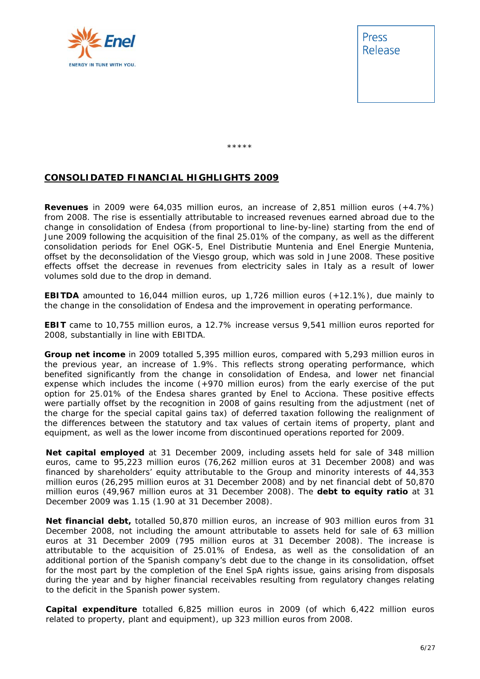

Press Release

\*\*\*\*\*

### **CONSOLIDATED FINANCIAL HIGHLIGHTS 2009**

**Revenues** in 2009 were 64,035 million euros, an increase of 2,851 million euros (+4.7%) from 2008. The rise is essentially attributable to increased revenues earned abroad due to the change in consolidation of Endesa (from proportional to line-by-line) starting from the end of June 2009 following the acquisition of the final 25.01% of the company, as well as the different consolidation periods for Enel OGK-5, Enel Distributie Muntenia and Enel Energie Muntenia, offset by the deconsolidation of the Viesgo group, which was sold in June 2008. These positive effects offset the decrease in revenues from electricity sales in Italy as a result of lower volumes sold due to the drop in demand.

**EBITDA** amounted to 16,044 million euros, up 1,726 million euros (+12.1%), due mainly to the change in the consolidation of Endesa and the improvement in operating performance.

**EBIT** came to 10,755 million euros, a 12.7% increase versus 9,541 million euros reported for 2008, substantially in line with EBITDA.

**Group net income** in 2009 totalled 5,395 million euros, compared with 5,293 million euros in the previous year, an increase of 1.9%. This reflects strong operating performance, which benefited significantly from the change in consolidation of Endesa, and lower net financial expense which includes the income (+970 million euros) from the early exercise of the put option for 25.01% of the Endesa shares granted by Enel to Acciona. These positive effects were partially offset by the recognition in 2008 of gains resulting from the adjustment (net of the charge for the special capital gains tax) of deferred taxation following the realignment of the differences between the statutory and tax values of certain items of property, plant and equipment, as well as the lower income from discontinued operations reported for 2009.

**Net capital employed** at 31 December 2009, including assets held for sale of 348 million euros, came to 95,223 million euros (76,262 million euros at 31 December 2008) and was financed by shareholders' equity attributable to the Group and minority interests of 44,353 million euros (26,295 million euros at 31 December 2008) and by net financial debt of 50,870 million euros (49,967 million euros at 31 December 2008). The **debt to equity ratio** at 31 December 2009 was 1.15 (1.90 at 31 December 2008).

**Net financial debt,** totalled 50,870 million euros, an increase of 903 million euros from 31 December 2008, not including the amount attributable to assets held for sale of 63 million euros at 31 December 2009 (795 million euros at 31 December 2008). The increase is attributable to the acquisition of 25.01% of Endesa, as well as the consolidation of an additional portion of the Spanish company's debt due to the change in its consolidation, offset for the most part by the completion of the Enel SpA rights issue, gains arising from disposals during the year and by higher financial receivables resulting from regulatory changes relating to the deficit in the Spanish power system.

**Capital expenditure** totalled 6,825 million euros in 2009 (of which 6,422 million euros related to property, plant and equipment), up 323 million euros from 2008.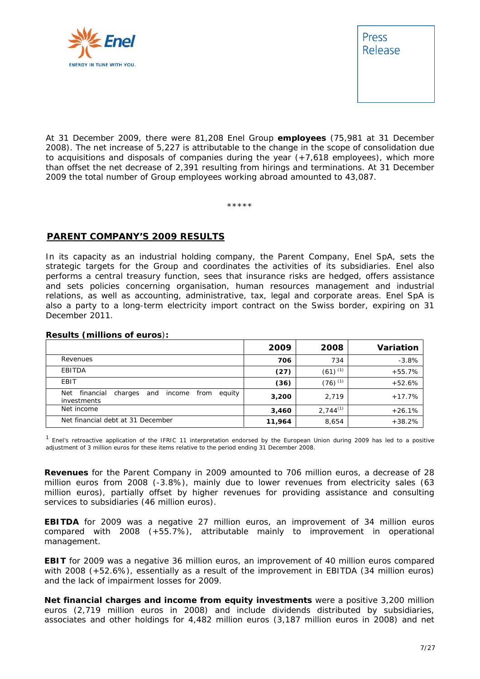



At 31 December 2009, there were 81,208 Enel Group **employees** (75,981 at 31 December 2008). The net increase of 5,227 is attributable to the change in the scope of consolidation due to acquisitions and disposals of companies during the year  $(+7,618$  employees), which more than offset the net decrease of 2,391 resulting from hirings and terminations. At 31 December 2009 the total number of Group employees working abroad amounted to 43,087.

\*\*\*\*\*

#### **PARENT COMPANY'S 2009 RESULTS**

In its capacity as an industrial holding company, the Parent Company, Enel SpA, sets the strategic targets for the Group and coordinates the activities of its subsidiaries. Enel also performs a central treasury function, sees that insurance risks are hedged, offers assistance and sets policies concerning organisation, human resources management and industrial relations, as well as accounting, administrative, tax, legal and corporate areas. Enel SpA is also a party to a long-term electricity import contract on the Swiss border, expiring on 31 December 2011.

|                                                                               | 2009   | 2008                  | <b>Variation</b> |
|-------------------------------------------------------------------------------|--------|-----------------------|------------------|
| Revenues                                                                      | 706    | 734                   | $-3.8%$          |
| EBITDA                                                                        | (27)   | $(61)^{(1)}$          | $+55.7%$         |
| EBIT                                                                          | (36)   | $(76)$ <sup>(1)</sup> | $+52.6%$         |
| financial<br>Net<br>equity<br>from<br>charges<br>and<br>income<br>investments | 3,200  | 2,719                 | $+17.7%$         |
| Net income                                                                    | 3,460  | $2,744^{(1)}$         | $+26.1%$         |
| Net financial debt at 31 December                                             | 11,964 | 8,654                 | $+38.2%$         |

#### **Results (millions of euros**)**:**

<sup>1</sup> Enel's retroactive application of the IFRIC 11 interpretation endorsed by the European Union during 2009 has led to a positive adjustment of 3 million euros for these items relative to the period ending 31 December 2008.

**Revenues** for the Parent Company in 2009 amounted to 706 million euros, a decrease of 28 million euros from 2008 (-3.8%), mainly due to lower revenues from electricity sales (63 million euros), partially offset by higher revenues for providing assistance and consulting services to subsidiaries (46 million euros).

**EBITDA** for 2009 was a negative 27 million euros, an improvement of 34 million euros compared with 2008 (+55.7%), attributable mainly to improvement in operational management.

**EBIT** for 2009 was a negative 36 million euros, an improvement of 40 million euros compared with 2008 (+52.6%), essentially as a result of the improvement in EBITDA (34 million euros) and the lack of impairment losses for 2009.

**Net financial charges and income from equity investments** were a positive 3,200 million euros (2,719 million euros in 2008) and include dividends distributed by subsidiaries, associates and other holdings for 4,482 million euros (3,187 million euros in 2008) and net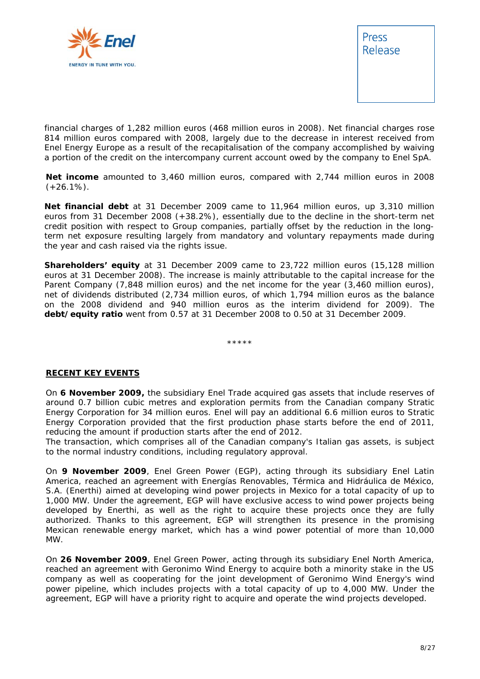



financial charges of 1,282 million euros (468 million euros in 2008). Net financial charges rose 814 million euros compared with 2008, largely due to the decrease in interest received from Enel Energy Europe as a result of the recapitalisation of the company accomplished by waiving a portion of the credit on the intercompany current account owed by the company to Enel SpA.

**Net income** amounted to 3,460 million euros, compared with 2,744 million euros in 2008  $(+26.1\%)$ .

**Net financial debt** at 31 December 2009 came to 11,964 million euros, up 3,310 million euros from 31 December 2008 (+38.2%), essentially due to the decline in the short-term net credit position with respect to Group companies, partially offset by the reduction in the longterm net exposure resulting largely from mandatory and voluntary repayments made during the year and cash raised via the rights issue.

**Shareholders' equity** at 31 December 2009 came to 23,722 million euros (15,128 million euros at 31 December 2008). The increase is mainly attributable to the capital increase for the Parent Company (7,848 million euros) and the net income for the year (3,460 million euros), net of dividends distributed (2,734 million euros, of which 1,794 million euros as the balance on the 2008 dividend and 940 million euros as the interim dividend for 2009). The **debt/equity ratio** went from 0.57 at 31 December 2008 to 0.50 at 31 December 2009.

\*\*\*\*\*

#### **RECENT KEY EVENTS**

On **6 November 2009,** the subsidiary Enel Trade acquired gas assets that include reserves of around 0.7 billion cubic metres and exploration permits from the Canadian company Stratic Energy Corporation for 34 million euros. Enel will pay an additional 6.6 million euros to Stratic Energy Corporation provided that the first production phase starts before the end of 2011, reducing the amount if production starts after the end of 2012.

The transaction, which comprises all of the Canadian company's Italian gas assets, is subject to the normal industry conditions, including regulatory approval.

On **9 November 2009**, Enel Green Power (EGP), acting through its subsidiary Enel Latin America, reached an agreement with Energías Renovables, Térmica and Hidráulica de México, S.A. (Enerthi) aimed at developing wind power projects in Mexico for a total capacity of up to 1,000 MW. Under the agreement, EGP will have exclusive access to wind power projects being developed by Enerthi, as well as the right to acquire these projects once they are fully authorized. Thanks to this agreement, EGP will strengthen its presence in the promising Mexican renewable energy market, which has a wind power potential of more than 10,000 MW.

On **26 November 2009**, Enel Green Power, acting through its subsidiary Enel North America, reached an agreement with Geronimo Wind Energy to acquire both a minority stake in the US company as well as cooperating for the joint development of Geronimo Wind Energy's wind power pipeline, which includes projects with a total capacity of up to 4,000 MW. Under the agreement, EGP will have a priority right to acquire and operate the wind projects developed.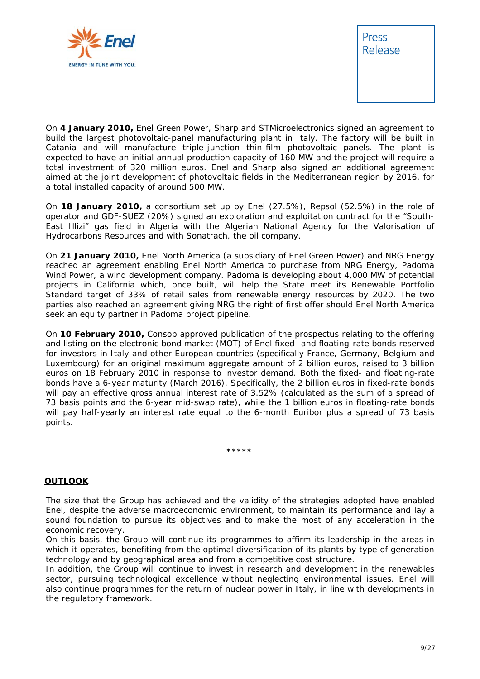

Press Release

On **4 January 2010,** Enel Green Power, Sharp and STMicroelectronics signed an agreement to build the largest photovoltaic-panel manufacturing plant in Italy. The factory will be built in Catania and will manufacture triple-junction thin-film photovoltaic panels. The plant is expected to have an initial annual production capacity of 160 MW and the project will require a total investment of 320 million euros. Enel and Sharp also signed an additional agreement aimed at the joint development of photovoltaic fields in the Mediterranean region by 2016, for a total installed capacity of around 500 MW.

On **18 January 2010,** a consortium set up by Enel (27.5%), Repsol (52.5%) in the role of operator and GDF-SUEZ (20%) signed an exploration and exploitation contract for the "South-East Illizi" gas field in Algeria with the Algerian National Agency for the Valorisation of Hydrocarbons Resources and with Sonatrach, the oil company.

On **21 January 2010,** Enel North America (a subsidiary of Enel Green Power) and NRG Energy reached an agreement enabling Enel North America to purchase from NRG Energy, Padoma Wind Power, a wind development company. Padoma is developing about 4,000 MW of potential projects in California which, once built, will help the State meet its Renewable Portfolio Standard target of 33% of retail sales from renewable energy resources by 2020. The two parties also reached an agreement giving NRG the right of first offer should Enel North America seek an equity partner in Padoma project pipeline.

On **10 February 2010,** Consob approved publication of the prospectus relating to the offering and listing on the electronic bond market (MOT) of Enel fixed- and floating-rate bonds reserved for investors in Italy and other European countries (specifically France, Germany, Belgium and Luxembourg) for an original maximum aggregate amount of 2 billion euros, raised to 3 billion euros on 18 February 2010 in response to investor demand. Both the fixed- and floating-rate bonds have a 6-year maturity (March 2016). Specifically, the 2 billion euros in fixed-rate bonds will pay an effective gross annual interest rate of 3.52% (calculated as the sum of a spread of 73 basis points and the 6-year mid-swap rate), while the 1 billion euros in floating-rate bonds will pay half-yearly an interest rate equal to the 6-month Euribor plus a spread of 73 basis points.

\*\*\*\*\*

#### **OUTLOOK**

The size that the Group has achieved and the validity of the strategies adopted have enabled Enel, despite the adverse macroeconomic environment, to maintain its performance and lay a sound foundation to pursue its objectives and to make the most of any acceleration in the economic recovery.

On this basis, the Group will continue its programmes to affirm its leadership in the areas in which it operates, benefiting from the optimal diversification of its plants by type of generation technology and by geographical area and from a competitive cost structure.

In addition, the Group will continue to invest in research and development in the renewables sector, pursuing technological excellence without neglecting environmental issues. Enel will also continue programmes for the return of nuclear power in Italy, in line with developments in the regulatory framework.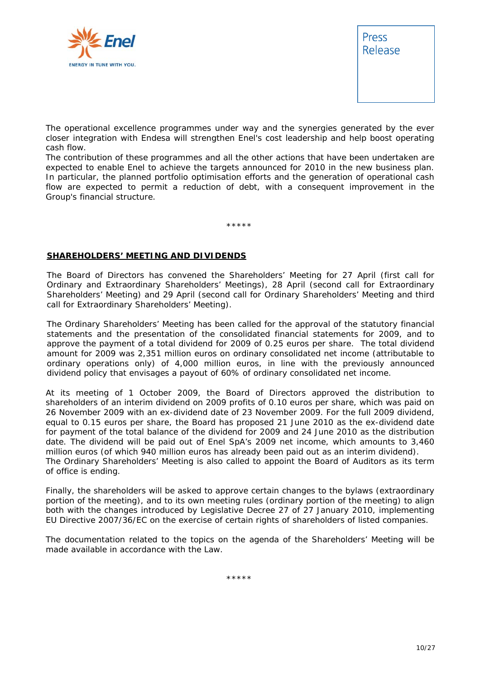



The operational excellence programmes under way and the synergies generated by the ever closer integration with Endesa will strengthen Enel's cost leadership and help boost operating cash flow.

The contribution of these programmes and all the other actions that have been undertaken are expected to enable Enel to achieve the targets announced for 2010 in the new business plan. In particular, the planned portfolio optimisation efforts and the generation of operational cash flow are expected to permit a reduction of debt, with a consequent improvement in the Group's financial structure.

\*\*\*\*\*

#### **SHAREHOLDERS' MEETING AND DIVIDENDS**

The Board of Directors has convened the Shareholders' Meeting for 27 April (first call for Ordinary and Extraordinary Shareholders' Meetings), 28 April (second call for Extraordinary Shareholders' Meeting) and 29 April (second call for Ordinary Shareholders' Meeting and third call for Extraordinary Shareholders' Meeting).

The Ordinary Shareholders' Meeting has been called for the approval of the statutory financial statements and the presentation of the consolidated financial statements for 2009, and to approve the payment of a total dividend for 2009 of 0.25 euros per share. The total dividend amount for 2009 was 2,351 million euros on ordinary consolidated net income (attributable to ordinary operations only) of 4,000 million euros, in line with the previously announced dividend policy that envisages a payout of 60% of ordinary consolidated net income.

At its meeting of 1 October 2009, the Board of Directors approved the distribution to shareholders of an interim dividend on 2009 profits of 0.10 euros per share, which was paid on 26 November 2009 with an ex-dividend date of 23 November 2009. For the full 2009 dividend, equal to 0.15 euros per share, the Board has proposed 21 June 2010 as the ex-dividend date for payment of the total balance of the dividend for 2009 and 24 June 2010 as the distribution date. The dividend will be paid out of Enel SpA's 2009 net income, which amounts to 3,460 million euros (of which 940 million euros has already been paid out as an interim dividend). The Ordinary Shareholders' Meeting is also called to appoint the Board of Auditors as its term of office is ending.

Finally, the shareholders will be asked to approve certain changes to the bylaws (extraordinary portion of the meeting), and to its own meeting rules (ordinary portion of the meeting) to align both with the changes introduced by Legislative Decree 27 of 27 January 2010, implementing EU Directive 2007/36/EC on the exercise of certain rights of shareholders of listed companies.

The documentation related to the topics on the agenda of the Shareholders' Meeting will be made available in accordance with the Law.

\*\*\*\*\*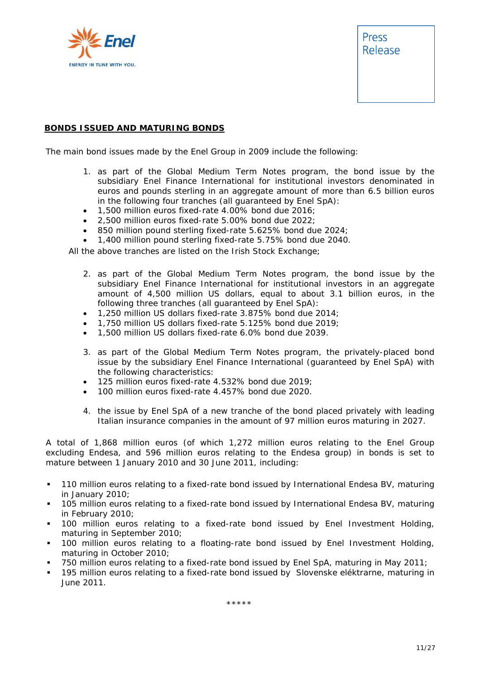

#### **BONDS ISSUED AND MATURING BONDS**

The main bond issues made by the Enel Group in 2009 include the following:

- 1. as part of the Global Medium Term Notes program, the bond issue by the subsidiary Enel Finance International for institutional investors denominated in euros and pounds sterling in an aggregate amount of more than 6.5 billion euros in the following four tranches (all guaranteed by Enel SpA):
- 1,500 million euros fixed-rate 4.00% bond due 2016;
- 2,500 million euros fixed-rate 5.00% bond due 2022;
- 850 million pound sterling fixed-rate 5.625% bond due 2024;
- 1,400 million pound sterling fixed-rate 5.75% bond due 2040.

All the above tranches are listed on the Irish Stock Exchange;

- 2. as part of the Global Medium Term Notes program, the bond issue by the subsidiary Enel Finance International for institutional investors in an aggregate amount of 4,500 million US dollars, equal to about 3.1 billion euros, in the following three tranches (all guaranteed by Enel SpA):
- 1,250 million US dollars fixed-rate 3.875% bond due 2014;
- 1,750 million US dollars fixed-rate 5.125% bond due 2019;
- 1,500 million US dollars fixed-rate 6.0% bond due 2039.
- 3. as part of the Global Medium Term Notes program, the privately-placed bond issue by the subsidiary Enel Finance International (guaranteed by Enel SpA) with the following characteristics:
- 125 million euros fixed-rate 4.532% bond due 2019;
- 100 million euros fixed-rate 4.457% bond due 2020.
- 4. the issue by Enel SpA of a new tranche of the bond placed privately with leading Italian insurance companies in the amount of 97 million euros maturing in 2027.

A total of 1,868 million euros (of which 1,272 million euros relating to the Enel Group excluding Endesa, and 596 million euros relating to the Endesa group) in bonds is set to mature between 1 January 2010 and 30 June 2011, including:

- 110 million euros relating to a fixed-rate bond issued by International Endesa BV, maturing in January 2010;
- 105 million euros relating to a fixed-rate bond issued by International Endesa BV, maturing in February 2010;
- 100 million euros relating to a fixed-rate bond issued by Enel Investment Holding, maturing in September 2010;
- 100 million euros relating to a floating-rate bond issued by Enel Investment Holding, maturing in October 2010;
- 750 million euros relating to a fixed-rate bond issued by Enel SpA, maturing in May 2011;
- 195 million euros relating to a fixed-rate bond issued by Slovenske eléktrarne, maturing in June 2011.

\*\*\*\*\*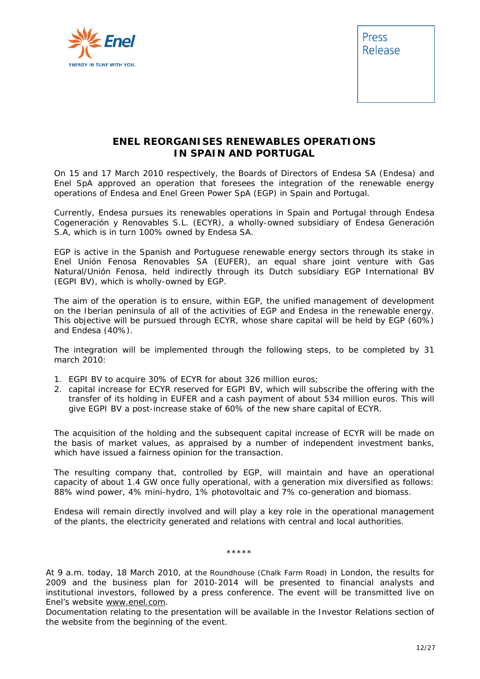

Press Release

### **ENEL REORGANISES RENEWABLES OPERATIONS IN SPAIN AND PORTUGAL**

On 15 and 17 March 2010 respectively, the Boards of Directors of Endesa SA (Endesa) and Enel SpA approved an operation that foresees the integration of the renewable energy operations of Endesa and Enel Green Power SpA (EGP) in Spain and Portugal.

Currently, Endesa pursues its renewables operations in Spain and Portugal through Endesa Cogeneración y Renovables S.L. (ECYR), a wholly-owned subsidiary of Endesa Generación S.A, which is in turn 100% owned by Endesa SA.

EGP is active in the Spanish and Portuguese renewable energy sectors through its stake in Enel Unión Fenosa Renovables SA (EUFER), an equal share joint venture with Gas Natural/Unión Fenosa, held indirectly through its Dutch subsidiary EGP International BV (EGPI BV), which is wholly-owned by EGP.

The aim of the operation is to ensure, within EGP, the unified management of development on the Iberian peninsula of all of the activities of EGP and Endesa in the renewable energy. This objective will be pursued through ECYR, whose share capital will be held by EGP (60%) and Endesa (40%).

The integration will be implemented through the following steps, to be completed by 31 march 2010:

- 1. EGPI BV to acquire 30% of ECYR for about 326 million euros;
- 2. capital increase for ECYR reserved for EGPI BV, which will subscribe the offering with the transfer of its holding in EUFER and a cash payment of about 534 million euros. This will give EGPI BV a post-increase stake of 60% of the new share capital of ECYR.

The acquisition of the holding and the subsequent capital increase of ECYR will be made on the basis of market values, as appraised by a number of independent investment banks, which have issued a fairness opinion for the transaction.

The resulting company that, controlled by EGP, will maintain and have an operational capacity of about 1.4 GW once fully operational, with a generation mix diversified as follows: 88% wind power, 4% mini-hydro, 1% photovoltaic and 7% co-generation and biomass.

Endesa will remain directly involved and will play a key role in the operational management of the plants, the electricity generated and relations with central and local authorities.

\*\*\*\*\*

*At 9 a.m. today, 18 March 2010, at the Roundhouse (Chalk Farm Road) in London, the results for 2009 and the business plan for 2010-2014 will be presented to financial analysts and institutional investors, followed by a press conference. The event will be transmitted live on Enel's website www.enel.com.* 

*Documentation relating to the presentation will be available in the* Investor Relations *section of the website from the beginning of the event.*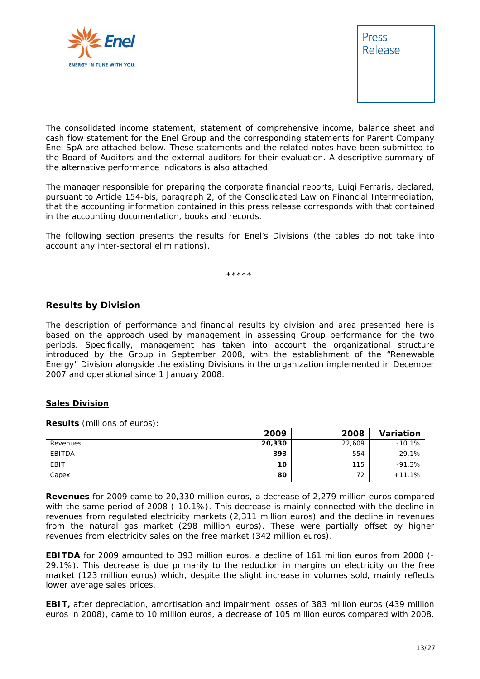



*The consolidated income statement, statement of comprehensive income, balance sheet and cash flow statement for the Enel Group and the corresponding statements for Parent Company Enel SpA are attached below. These statements and the related notes have been submitted to the Board of Auditors and the external auditors for their evaluation. A descriptive summary of the alternative performance indicators is also attached.* 

*The manager responsible for preparing the corporate financial reports, Luigi Ferraris, declared, pursuant to Article 154-bis, paragraph 2, of the Consolidated Law on Financial Intermediation, that the accounting information contained in this press release corresponds with that contained in the accounting documentation, books and records.* 

*The following section presents the results for Enel's Divisions (the tables do not take into account any inter-sectoral eliminations).* 

\*\*\*\*\*

#### **Results by Division**

The description of performance and financial results by division and area presented here is based on the approach used by management in assessing Group performance for the two periods. Specifically, management has taken into account the organizational structure introduced by the Group in September 2008, with the establishment of the "Renewable Energy" Division alongside the existing Divisions in the organization implemented in December 2007 and operational since 1 January 2008.

#### **Sales Division**

**Results** (millions of euros):

|          | 2009   | 2008   | Variation |
|----------|--------|--------|-----------|
| Revenues | 20,330 | 22,609 | $-10.1%$  |
| EBITDA   | 393    | 554    | $-29.1%$  |
| EBIT     | 10     | 115    | $-91.3%$  |
| Capex    | 80     | 72     | $+11.1%$  |

**Revenues** for 2009 came to 20,330 million euros, a decrease of 2,279 million euros compared with the same period of 2008 (-10.1%). This decrease is mainly connected with the decline in revenues from regulated electricity markets (2,311 million euros) and the decline in revenues from the natural gas market (298 million euros). These were partially offset by higher revenues from electricity sales on the free market (342 million euros).

**EBITDA** for 2009 amounted to 393 million euros, a decline of 161 million euros from 2008 (- 29.1%). This decrease is due primarily to the reduction in margins on electricity on the free market (123 million euros) which, despite the slight increase in volumes sold, mainly reflects lower average sales prices.

**EBIT,** after depreciation, amortisation and impairment losses of 383 million euros (439 million euros in 2008), came to 10 million euros, a decrease of 105 million euros compared with 2008.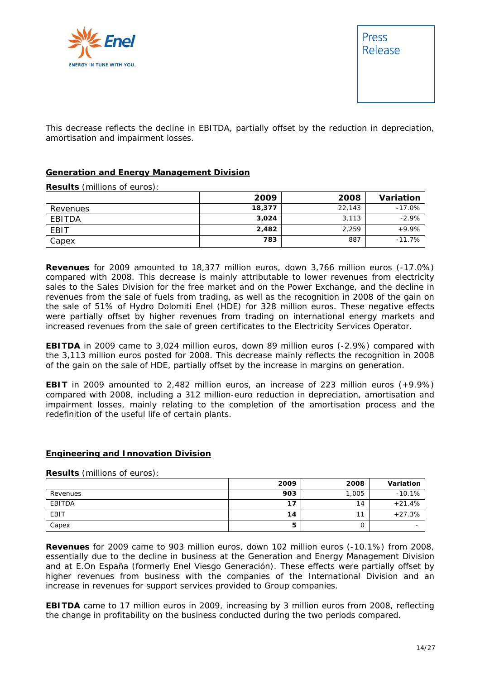

This decrease reflects the decline in EBITDA, partially offset by the reduction in depreciation, amortisation and impairment losses.

#### **Generation and Energy Management Division**

**Results** (millions of euros):

|          | 2009   | 2008   | Variation |
|----------|--------|--------|-----------|
| Revenues | 18,377 | 22,143 | $-17.0%$  |
| EBITDA   | 3,024  | 3,113  | $-2.9%$   |
| EBIT     | 2,482  | 2,259  | $+9.9%$   |
| Capex    | 783    | 887    | $-11.7%$  |

**Revenues** for 2009 amounted to 18,377 million euros, down 3,766 million euros (-17.0%) compared with 2008. This decrease is mainly attributable to lower revenues from electricity sales to the Sales Division for the free market and on the Power Exchange, and the decline in revenues from the sale of fuels from trading, as well as the recognition in 2008 of the gain on the sale of 51% of Hydro Dolomiti Enel (HDE) for 328 million euros. These negative effects were partially offset by higher revenues from trading on international energy markets and increased revenues from the sale of green certificates to the Electricity Services Operator.

**EBITDA** in 2009 came to 3,024 million euros, down 89 million euros (-2.9%) compared with the 3,113 million euros posted for 2008. This decrease mainly reflects the recognition in 2008 of the gain on the sale of HDE, partially offset by the increase in margins on generation.

**EBIT** in 2009 amounted to 2,482 million euros, an increase of 223 million euros (+9.9%) compared with 2008, including a 312 million-euro reduction in depreciation, amortisation and impairment losses, mainly relating to the completion of the amortisation process and the redefinition of the useful life of certain plants.

#### **Engineering and Innovation Division**

**Results** (millions of euros):

|          | 2009 | 2008  | Variation |
|----------|------|-------|-----------|
| Revenues | 903  | 1,005 | $-10.1%$  |
| EBITDA   | 17   | 14    | $+21.4%$  |
| EBIT     | 14   | 11    | $+27.3%$  |
| Capex    | э    | U     |           |

**Revenues** for 2009 came to 903 million euros, down 102 million euros (-10.1%) from 2008, essentially due to the decline in business at the Generation and Energy Management Division and at E.On España (formerly Enel Viesgo Generación). These effects were partially offset by higher revenues from business with the companies of the International Division and an increase in revenues for support services provided to Group companies.

**EBITDA** came to 17 million euros in 2009, increasing by 3 million euros from 2008, reflecting the change in profitability on the business conducted during the two periods compared.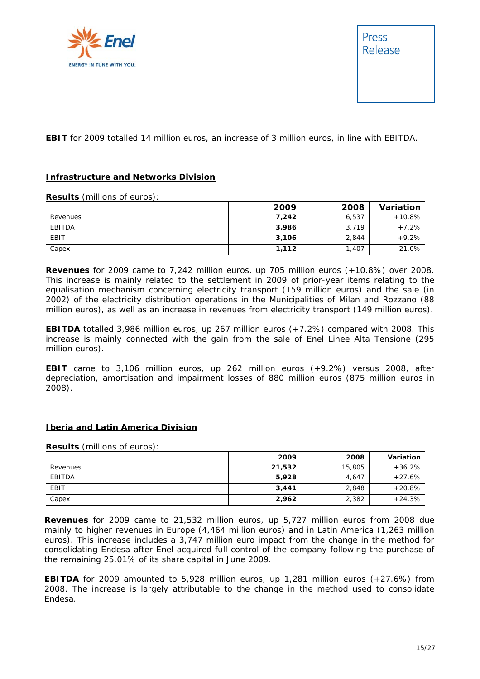

**EBIT** for 2009 totalled 14 million euros, an increase of 3 million euros, in line with EBITDA.

#### **Infrastructure and Networks Division**

**Results** (millions of euros):

|          | 2009  | 2008  | Variation |
|----------|-------|-------|-----------|
| Revenues | 7.242 | 6,537 | $+10.8%$  |
| EBITDA   | 3,986 | 3,719 | $+7.2%$   |
| EBIT     | 3,106 | 2,844 | $+9.2%$   |
| Capex    | 1,112 | 1,407 | $-21.0%$  |

**Revenues** for 2009 came to 7,242 million euros, up 705 million euros (+10.8%) over 2008. This increase is mainly related to the settlement in 2009 of prior-year items relating to the equalisation mechanism concerning electricity transport (159 million euros) and the sale (in 2002) of the electricity distribution operations in the Municipalities of Milan and Rozzano (88 million euros), as well as an increase in revenues from electricity transport (149 million euros).

**EBITDA** totalled 3,986 million euros, up 267 million euros (+7.2%) compared with 2008. This increase is mainly connected with the gain from the sale of Enel Linee Alta Tensione (295 million euros).

**EBIT** came to 3,106 million euros, up 262 million euros (+9.2%) versus 2008, after depreciation, amortisation and impairment losses of 880 million euros (875 million euros in 2008).

#### **Iberia and Latin America Division**

**Results** (millions of euros):

|             | 2009   | 2008   | Variation |
|-------------|--------|--------|-----------|
| Revenues    | 21,532 | 15,805 | $+36.2%$  |
| EBITDA      | 5,928  | 4,647  | $+27.6%$  |
| <b>EBIT</b> | 3,441  | 2,848  | $+20.8%$  |
| Capex       | 2,962  | 2,382  | $+24.3%$  |

**Revenues** for 2009 came to 21,532 million euros, up 5,727 million euros from 2008 due mainly to higher revenues in Europe (4,464 million euros) and in Latin America (1,263 million euros). This increase includes a 3,747 million euro impact from the change in the method for consolidating Endesa after Enel acquired full control of the company following the purchase of the remaining 25.01% of its share capital in June 2009.

**EBITDA** for 2009 amounted to 5,928 million euros, up 1,281 million euros (+27.6%) from 2008. The increase is largely attributable to the change in the method used to consolidate Endesa.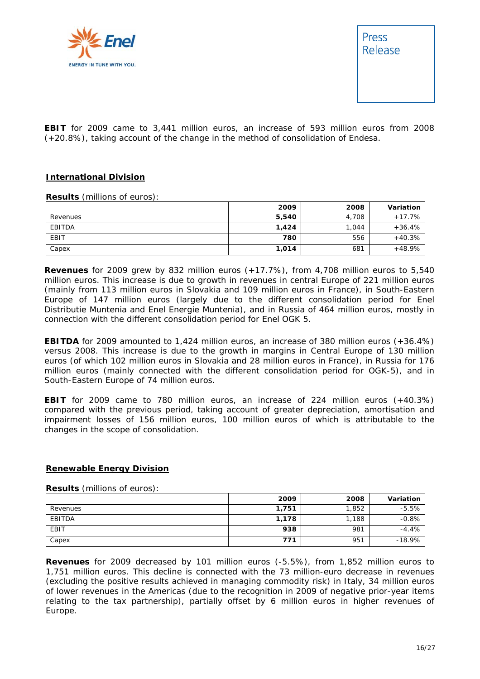

**EBIT** for 2009 came to 3,441 million euros, an increase of 593 million euros from 2008 (+20.8%), taking account of the change in the method of consolidation of Endesa.

#### **International Division**

**Results** (millions of euros):

|          | 2009  | 2008  | Variation |
|----------|-------|-------|-----------|
| Revenues | 5,540 | 4.708 | $+17.7%$  |
| EBITDA   | 1,424 | 1.044 | $+36.4%$  |
| EBIT     | 780   | 556   | $+40.3%$  |
| Capex    | 1,014 | 681   | $+48.9%$  |

**Revenues** for 2009 grew by 832 million euros (+17.7%), from 4,708 million euros to 5,540 million euros. This increase is due to growth in revenues in central Europe of 221 million euros (mainly from 113 million euros in Slovakia and 109 million euros in France), in South-Eastern Europe of 147 million euros (largely due to the different consolidation period for Enel Distributie Muntenia and Enel Energie Muntenia), and in Russia of 464 million euros, mostly in connection with the different consolidation period for Enel OGK 5.

**EBITDA** for 2009 amounted to 1,424 million euros, an increase of 380 million euros (+36.4%) versus 2008. This increase is due to the growth in margins in Central Europe of 130 million euros (of which 102 million euros in Slovakia and 28 million euros in France), in Russia for 176 million euros (mainly connected with the different consolidation period for OGK-5), and in South-Eastern Europe of 74 million euros.

**EBIT** for 2009 came to 780 million euros, an increase of 224 million euros (+40.3%) compared with the previous period, taking account of greater depreciation, amortisation and impairment losses of 156 million euros, 100 million euros of which is attributable to the changes in the scope of consolidation.

#### **Renewable Energy Division**

**Results** (millions of euros):

|          | 2009  | 2008  | Variation |
|----------|-------|-------|-----------|
| Revenues | 1,751 | 1,852 | $-5.5%$   |
| EBITDA   | 1,178 | 1,188 | $-0.8%$   |
| EBIT     | 938   | 981   | $-4.4%$   |
| Capex    | 771   | 951   | $-18.9%$  |

**Revenues** for 2009 decreased by 101 million euros (-5.5%), from 1,852 million euros to 1,751 million euros. This decline is connected with the 73 million-euro decrease in revenues (excluding the positive results achieved in managing commodity risk) in Italy, 34 million euros of lower revenues in the Americas (due to the recognition in 2009 of negative prior-year items relating to the tax partnership), partially offset by 6 million euros in higher revenues of Europe.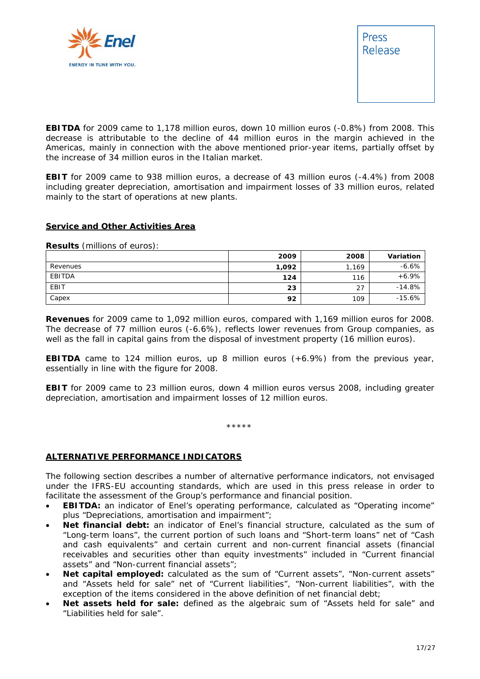



**EBITDA** for 2009 came to 1,178 million euros, down 10 million euros (-0.8%) from 2008. This decrease is attributable to the decline of 44 million euros in the margin achieved in the Americas, mainly in connection with the above mentioned prior-year items, partially offset by the increase of 34 million euros in the Italian market.

**EBIT** for 2009 came to 938 million euros, a decrease of 43 million euros (-4.4%) from 2008 including greater depreciation, amortisation and impairment losses of 33 million euros, related mainly to the start of operations at new plants.

#### **Service and Other Activities Area**

**Results** (millions of euros):

|          | 2009  | 2008  | Variation |
|----------|-------|-------|-----------|
| Revenues | 1,092 | 1,169 | $-6.6%$   |
| EBITDA   | 124   | 116   | $+6.9%$   |
| EBIT     | 23    | 27    | $-14.8%$  |
| Capex    | 92    | 109   | $-15.6%$  |

**Revenues** for 2009 came to 1,092 million euros, compared with 1,169 million euros for 2008. The decrease of 77 million euros (-6.6%), reflects lower revenues from Group companies, as well as the fall in capital gains from the disposal of investment property (16 million euros).

**EBITDA** came to 124 million euros, up 8 million euros (+6.9%) from the previous year, essentially in line with the figure for 2008.

**EBIT** for 2009 came to 23 million euros, down 4 million euros versus 2008, including greater depreciation, amortisation and impairment losses of 12 million euros.

\*\*\*\*\*

#### **ALTERNATIVE PERFORMANCE INDICATORS**

The following section describes a number of alternative performance indicators, not envisaged under the IFRS-EU accounting standards, which are used in this press release in order to facilitate the assessment of the Group's performance and financial position.

- **EBITDA:** an indicator of Enel's operating performance, calculated as "Operating income" plus "Depreciations, amortisation and impairment";
- **Net financial debt:** an indicator of Enel's financial structure, calculated as the sum of "Long-term loans", the current portion of such loans and "Short-term loans" net of "Cash and cash equivalents" and certain current and non-current financial assets (financial receivables and securities other than equity investments" included in "Current financial assets" and "Non-current financial assets";
- **Net capital employed:** calculated as the sum of "Current assets", "Non-current assets" and "Assets held for sale" net of "Current liabilities", "Non-current liabilities", with the exception of the items considered in the above definition of net financial debt;
- **Net assets held for sale:** defined as the algebraic sum of "Assets held for sale" and "Liabilities held for sale".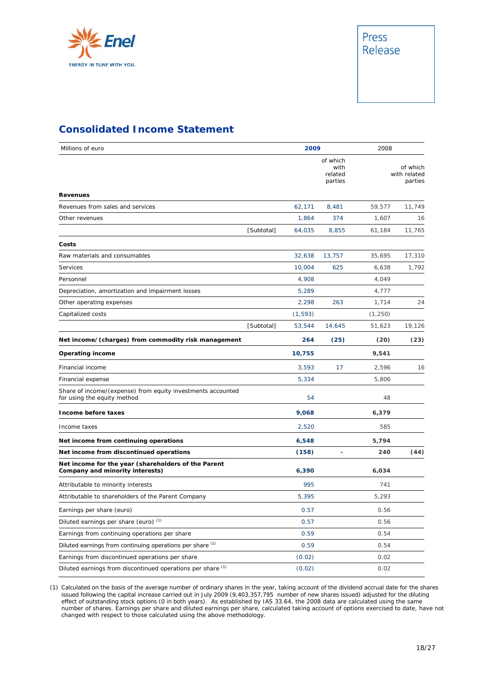

### **Consolidated Income Statement**

| Millions of euro                                                                           |            | 2009     |                                        | 2008     |                                     |
|--------------------------------------------------------------------------------------------|------------|----------|----------------------------------------|----------|-------------------------------------|
|                                                                                            |            |          | of which<br>with<br>related<br>parties |          | of which<br>with related<br>parties |
| <b>Revenues</b>                                                                            |            |          |                                        |          |                                     |
| Revenues from sales and services                                                           |            | 62,171   | 8,481                                  | 59,577   | 11,749                              |
| Other revenues                                                                             |            | 1,864    | 374                                    | 1,607    | 16                                  |
|                                                                                            | [Subtotal] | 64,035   | 8,855                                  | 61,184   | 11,765                              |
| Costs                                                                                      |            |          |                                        |          |                                     |
| Raw materials and consumables                                                              |            | 32,638   | 13,757                                 | 35,695   | 17,310                              |
| Services                                                                                   |            | 10,004   | 625                                    | 6,638    | 1,792                               |
| Personnel                                                                                  |            | 4,908    |                                        | 4,049    |                                     |
| Depreciation, amortization and impairment losses                                           |            | 5,289    |                                        | 4,777    |                                     |
| Other operating expenses                                                                   |            | 2,298    | 263                                    | 1,714    | 24                                  |
| Capitalized costs                                                                          |            | (1, 593) |                                        | (1, 250) |                                     |
|                                                                                            | [Subtotal] | 53,544   | 14,645                                 | 51,623   | 19,126                              |
| Net income/(charges) from commodity risk management                                        |            | 264      | (25)                                   | (20)     | (23)                                |
| <b>Operating income</b>                                                                    |            | 10,755   |                                        | 9,541    |                                     |
| Financial income                                                                           |            | 3,593    | 17                                     | 2,596    | 16                                  |
| Financial expense                                                                          |            | 5,334    |                                        | 5,806    |                                     |
| Share of income/(expense) from equity investments accounted<br>for using the equity method |            | 54       |                                        | 48       |                                     |
| Income before taxes                                                                        |            | 9,068    |                                        | 6,379    |                                     |
| Income taxes                                                                               |            | 2,520    |                                        | 585      |                                     |
| Net income from continuing operations                                                      |            | 6,548    |                                        | 5,794    |                                     |
| Net income from discontinued operations                                                    |            | (158)    |                                        | 240      | (44)                                |
| Net income for the year (shareholders of the Parent<br>Company and minority interests)     |            | 6,390    |                                        | 6,034    |                                     |
| Attributable to minority interests                                                         |            | 995      |                                        | 741      |                                     |
| Attributable to shareholders of the Parent Company                                         |            | 5,395    |                                        | 5,293    |                                     |
| Earnings per share (euro)                                                                  |            | 0.57     |                                        | 0.56     |                                     |
| Diluted earnings per share (euro) (1)                                                      |            | 0.57     |                                        | 0.56     |                                     |
| Earnings from continuing operations per share                                              |            | 0.59     |                                        | 0.54     |                                     |
| Diluted earnings from continuing operations per share (1)                                  |            | 0.59     |                                        | 0.54     |                                     |
| Earnings from discontinued operations per share                                            |            | (0.02)   |                                        | 0.02     |                                     |
| Diluted earnings from discontinued operations per share (1)                                |            | (0.02)   |                                        | 0.02     |                                     |

(1) Calculated on the basis of the average number of ordinary shares in the year, taking account of the dividend accrual date for the shares issued following the capital increase carried out in July 2009 (9,403,357,795 number of new shares issued) adjusted for the diluting effect of outstanding stock options (0 in both years). As established by IAS 33.64, the 2008 data are calculated using the same number of shares. Earnings per share and diluted earnings per share, calculated taking account of options exercised to date, have not changed with respect to those calculated using the above methodology.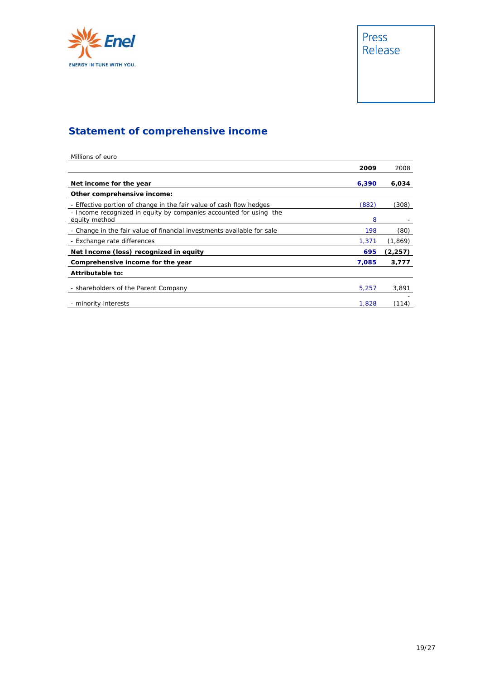

# **Statement of comprehensive income**

| Millions of euro                                                                    |       |          |
|-------------------------------------------------------------------------------------|-------|----------|
|                                                                                     | 2009  | 2008     |
| Net income for the year                                                             | 6,390 | 6,034    |
| Other comprehensive income:                                                         |       |          |
| - Effective portion of change in the fair value of cash flow hedges                 | (882) | (308)    |
| - Income recognized in equity by companies accounted for using the<br>equity method | 8     |          |
| - Change in the fair value of financial investments available for sale              | 198   | (80)     |
| - Exchange rate differences                                                         | 1,371 | (1, 869) |
| Net Income (loss) recognized in equity                                              | 695   | (2, 257) |
| Comprehensive income for the year                                                   | 7,085 | 3,777    |
| Attributable to:                                                                    |       |          |
| - shareholders of the Parent Company                                                | 5,257 | 3,891    |
| - minority interests                                                                | 1,828 | (114)    |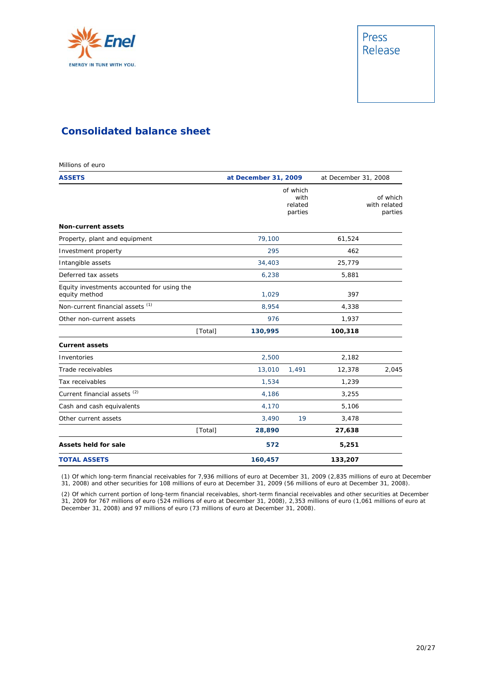

### **Consolidated balance sheet**

Millions of euro **ASSETS at December 31, 2009** at December 31, 2008 *of which with related parties of which with related parties* **Non-current assets**  Property, plant and equipment 19, 100 61,524 Investment property 295 462 Intangible assets 34,403 25,779 Deferred tax assets 6,238 5,881 Equity investments accounted for using the equity method and the contract of the 1,029 397 Non-current financial assets  $(1)$  8,954 8,954 4,338 Other non-current assets 1,937 and 1,937 and 1,937 and 1,937 and 1,937 and 1,937 and 1,937 and 1,937 and 1,937 *[Total]* **130,995 100,318 Current assets**  Inventories 2,500 2,182 Trade receivables 13,010 *1,491* 12,378 *2,045* Tax receivables and the set of the set of the set of the set of the set of the set of the set of the set of the set of the set of the set of the set of the set of the set of the set of the set of the set of the set of the Current financial assets  $^{(2)}$   $4.186$   $3.255$ Cash and cash equivalents **4,170** 5,106 Other current assets 3,490 **19 3,478**  *[Total]* **28,890 27,638 Assets held for sale 572 5,251 TOTAL ASSETS 160,457 133,207**

(1) Of which long-term financial receivables for 7,936 millions of euro at December 31, 2009 (2,835 millions of euro at December 31, 2008) and other securities for 108 millions of euro at December 31, 2009 (56 millions of euro at December 31, 2008).

(2) Of which current portion of long-term financial receivables, short-term financial receivables and other securities at December 31, 2009 for 767 millions of euro (524 millions of euro at December 31, 2008), 2,353 millions of euro (1,061 millions of euro at December 31, 2008) and 97 millions of euro (73 millions of euro at December 31, 2008).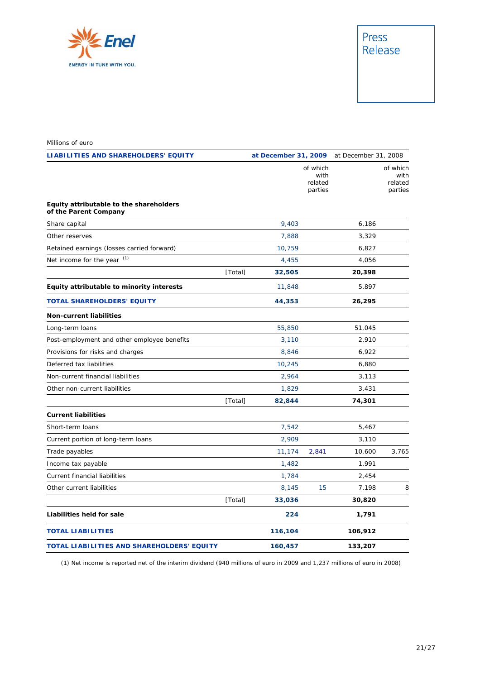

#### Millions of euro

| <b>LIABILITIES AND SHAREHOLDERS' EQUITY</b>                      |         |         |                                        | at December 31, 2009 at December 31, 2008 |                                        |  |
|------------------------------------------------------------------|---------|---------|----------------------------------------|-------------------------------------------|----------------------------------------|--|
|                                                                  |         |         | of which<br>with<br>related<br>parties |                                           | of which<br>with<br>related<br>parties |  |
| Equity attributable to the shareholders<br>of the Parent Company |         |         |                                        |                                           |                                        |  |
| Share capital                                                    |         | 9,403   |                                        | 6,186                                     |                                        |  |
| Other reserves                                                   |         | 7,888   |                                        | 3,329                                     |                                        |  |
| Retained earnings (losses carried forward)                       |         | 10,759  |                                        | 6,827                                     |                                        |  |
| Net income for the year (1)                                      |         | 4,455   |                                        | 4,056                                     |                                        |  |
|                                                                  | [Total] | 32,505  |                                        | 20,398                                    |                                        |  |
| Equity attributable to minority interests                        |         | 11,848  |                                        | 5,897                                     |                                        |  |
| <b>TOTAL SHAREHOLDERS' EQUITY</b>                                |         | 44,353  |                                        | 26,295                                    |                                        |  |
| <b>Non-current liabilities</b>                                   |         |         |                                        |                                           |                                        |  |
| Long-term loans                                                  |         | 55,850  |                                        | 51,045                                    |                                        |  |
| Post-employment and other employee benefits                      |         | 3,110   |                                        | 2,910                                     |                                        |  |
| Provisions for risks and charges                                 |         | 8,846   |                                        | 6,922                                     |                                        |  |
| Deferred tax liabilities                                         |         | 10,245  |                                        | 6,880                                     |                                        |  |
| Non-current financial liabilities                                |         | 2,964   |                                        | 3,113                                     |                                        |  |
| Other non-current liabilities                                    |         | 1,829   |                                        | 3,431                                     |                                        |  |
|                                                                  | [Total] | 82,844  |                                        | 74,301                                    |                                        |  |
| <b>Current liabilities</b>                                       |         |         |                                        |                                           |                                        |  |
| Short-term loans                                                 |         | 7,542   |                                        | 5,467                                     |                                        |  |
| Current portion of long-term loans                               |         | 2,909   |                                        | 3,110                                     |                                        |  |
| Trade payables                                                   |         | 11,174  | 2,841                                  | 10,600                                    | 3,765                                  |  |
| Income tax payable                                               |         | 1,482   |                                        | 1,991                                     |                                        |  |
| Current financial liabilities                                    |         | 1,784   |                                        | 2,454                                     |                                        |  |
| Other current liabilities                                        |         | 8,145   | 15                                     | 7,198                                     | 8                                      |  |
|                                                                  | [Total] | 33,036  |                                        | 30,820                                    |                                        |  |
| Liabilities held for sale                                        |         | 224     |                                        | 1,791                                     |                                        |  |
| <b>TOTAL LIABILITIES</b>                                         |         | 116,104 |                                        | 106,912                                   |                                        |  |
| TOTAL LIABILITIES AND SHAREHOLDERS' EQUITY                       |         | 160,457 |                                        | 133,207                                   |                                        |  |

(1) Net income is reported net of the interim dividend (940 millions of euro in 2009 and 1,237 millions of euro in 2008)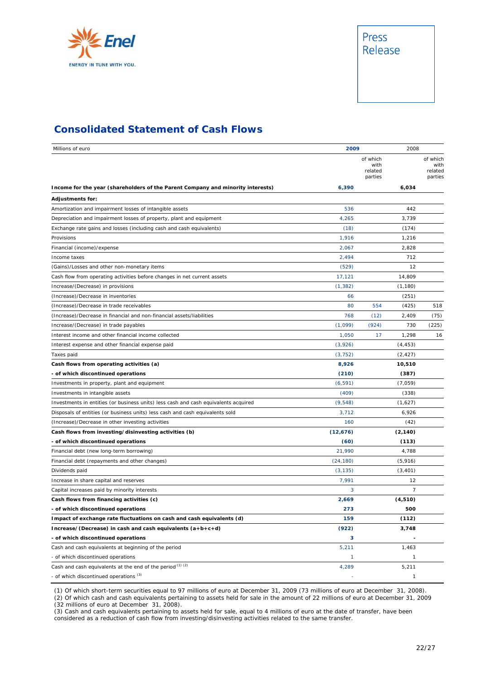

### **Consolidated Statement of Cash Flows**

| Millions of euro                                                                    | 2009      |                                        | 2008         |       |
|-------------------------------------------------------------------------------------|-----------|----------------------------------------|--------------|-------|
|                                                                                     |           | of which<br>with<br>related<br>parties |              |       |
| Income for the year (shareholders of the Parent Company and minority interests)     | 6,390     |                                        | 6,034        |       |
| <b>Adjustments for:</b>                                                             |           |                                        |              |       |
| Amortization and impairment losses of intangible assets                             | 536       |                                        | 442          |       |
| Depreciation and impairment losses of property, plant and equipment                 | 4,265     |                                        | 3,739        |       |
| Exchange rate gains and losses (including cash and cash equivalents)                | (18)      |                                        | (174)        |       |
| Provisions                                                                          | 1,916     |                                        | 1,216        |       |
| Financial (income)/expense                                                          | 2,067     |                                        | 2,828        |       |
| Income taxes                                                                        | 2,494     |                                        | 712          |       |
| (Gains)/Losses and other non-monetary items                                         | (529)     |                                        | 12           |       |
| Cash flow from operating activities before changes in net current assets            | 17,121    |                                        | 14,809       |       |
| Increase/(Decrease) in provisions                                                   | (1, 382)  |                                        | (1, 180)     |       |
| (Increase)/Decrease in inventories                                                  | 66        |                                        | (251)        |       |
| (Increase)/Decrease in trade receivables                                            | 80        | 554                                    | (425)        | 518   |
| (Increase)/Decrease in financial and non-financial assets/liabilities               | 768       | (12)                                   | 2,409        | (75)  |
| Increase/(Decrease) in trade payables                                               | (1,099)   | (924)                                  | 730          | (225) |
| Interest income and other financial income collected                                | 1,050     | 17                                     | 1,298        | 16    |
| Interest expense and other financial expense paid                                   | (3,926)   |                                        | (4, 453)     |       |
| Taxes paid                                                                          | (3, 752)  |                                        | (2, 427)     |       |
| Cash flows from operating activities (a)                                            | 8,926     |                                        | 10,510       |       |
| - of which discontinued operations                                                  | (210)     |                                        | (387)        |       |
| Investments in property, plant and equipment                                        | (6, 591)  |                                        | (7,059)      |       |
| Investments in intangible assets                                                    | (409)     |                                        | (338)        |       |
| Investments in entities (or business units) less cash and cash equivalents acquired | (9, 548)  |                                        | (1,627)      |       |
| Disposals of entities (or business units) less cash and cash equivalents sold       | 3,712     |                                        | 6,926        |       |
| (Increase)/Decrease in other investing activities                                   | 160       |                                        | (42)         |       |
| Cash flows from investing/disinvesting activities (b)                               | (12,676)  |                                        | (2, 140)     |       |
| - of which discontinued operations                                                  | (60)      |                                        | (113)        |       |
| Financial debt (new long-term borrowing)                                            | 21,990    |                                        | 4,788        |       |
| Financial debt (repayments and other changes)                                       | (24, 180) |                                        | (5, 916)     |       |
| Dividends paid                                                                      | (3, 135)  |                                        | (3, 401)     |       |
| Increase in share capital and reserves                                              | 7,991     |                                        | 12           |       |
| Capital increases paid by minority interests                                        | 3         |                                        | 7            |       |
| Cash flows from financing activities (c)                                            | 2,669     |                                        | (4, 510)     |       |
| - of which discontinued operations                                                  | 273       |                                        | 500          |       |
| Impact of exchange rate fluctuations on cash and cash equivalents (d)               | 159       |                                        | (112)        |       |
| Increase/(Decrease) in cash and cash equivalents $(a+b+c+d)$                        | (922)     |                                        | 3,748        |       |
| - of which discontinued operations                                                  | 3         |                                        |              |       |
| Cash and cash equivalents at beginning of the period                                | 5,211     |                                        | 1,463        |       |
| - of which discontinued operations                                                  | 1         |                                        | $\mathbf{1}$ |       |
| Cash and cash equivalents at the end of the period (1) (2)                          | 4,289     |                                        | 5,211        |       |
| - of which discontinued operations <sup>(3)</sup>                                   |           |                                        |              |       |

(1) Of which short-term securities equal to 97 millions of euro at December 31, 2009 (73 millions of euro at December 31, 2008).

(2) Of which cash and cash equivalents pertaining to assets held for sale in the amount of 22 millions of euro at December 31, 2009 (32 millions of euro at December 31, 2008).

(3) Cash and cash equivalents pertaining to assets held for sale, equal to 4 millions of euro at the date of transfer, have been considered as a reduction of cash flow from investing/disinvesting activities related to the same transfer.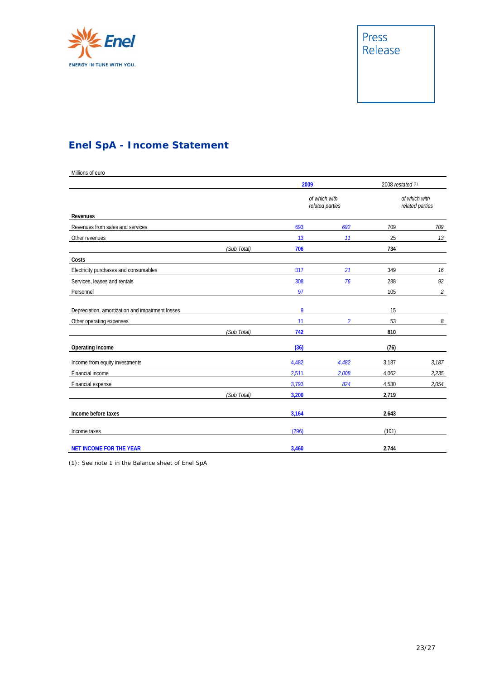

## **Enel SpA - Income Statement**

Millions of euro

|                                                  |             | 2009<br>of which with<br>related parties |                | 2008 restated <sup>(1)</sup><br>of which with<br>related parties |                             |
|--------------------------------------------------|-------------|------------------------------------------|----------------|------------------------------------------------------------------|-----------------------------|
|                                                  |             |                                          |                |                                                                  |                             |
| Revenues                                         |             |                                          |                |                                                                  |                             |
| Revenues from sales and services                 |             | 693                                      | 692            | 709                                                              | 709                         |
| Other revenues                                   |             | 13                                       | 11             | 25                                                               | 13                          |
|                                                  | (Sub Total) | 706                                      |                | 734                                                              |                             |
| Costs                                            |             |                                          |                |                                                                  |                             |
| Electricity purchases and consumables            |             | 317                                      | 21             | 349                                                              | 16                          |
| Services, leases and rentals                     |             | 308                                      | 76             | 288                                                              | 92                          |
| Personnel                                        |             | 97                                       |                | 105                                                              | $\mathcal{L}_{\mathcal{L}}$ |
| Depreciation, amortization and impairment losses |             | 9                                        |                | 15                                                               |                             |
| Other operating expenses                         |             | 11                                       | $\overline{2}$ | 53                                                               | 8                           |
|                                                  | (Sub Total) | 742                                      |                | 810                                                              |                             |
| Operating income                                 |             | (36)                                     |                | (76)                                                             |                             |
| Income from equity investments                   |             | 4,482                                    | 4,482          | 3,187                                                            | 3,187                       |
| Financial income                                 |             | 2,511                                    | 2,008          | 4,062                                                            | 2,235                       |
| Financial expense                                |             | 3,793                                    | 824            | 4,530                                                            | 2,054                       |
|                                                  | (Sub Total) | 3,200                                    |                | 2,719                                                            |                             |
| Income before taxes                              |             | 3,164                                    |                | 2,643                                                            |                             |
| Income taxes                                     |             | (296)                                    |                | (101)                                                            |                             |
| <b>NET INCOME FOR THE YEAR</b>                   |             | 3,460                                    |                | 2,744                                                            |                             |

(1): See note 1 in the Balance sheet of Enel SpA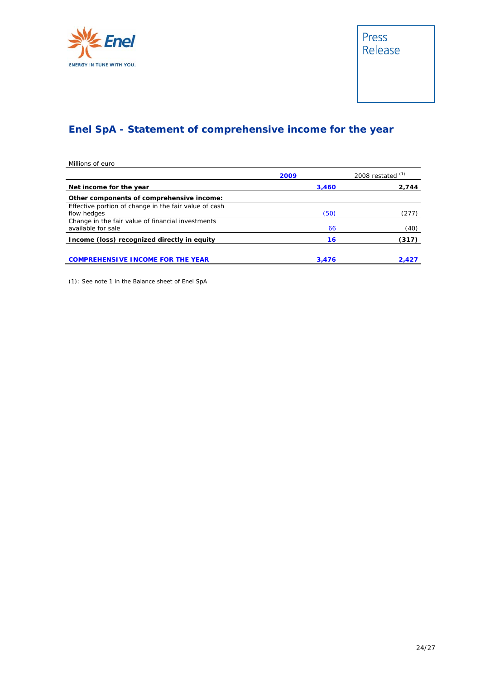

## **Enel SpA - Statement of comprehensive income for the year**

| Millions of euro                                      |       |                     |  |
|-------------------------------------------------------|-------|---------------------|--|
|                                                       | 2009  | 2008 restated $(1)$ |  |
| Net income for the year                               | 3,460 | 2,744               |  |
| Other components of comprehensive income:             |       |                     |  |
| Effective portion of change in the fair value of cash |       |                     |  |
| flow hedges                                           | (50)  | (277)               |  |
| Change in the fair value of financial investments     |       |                     |  |
| available for sale                                    | 66    | (40)                |  |
| Income (loss) recognized directly in equity           | 16    | (317)               |  |
|                                                       |       |                     |  |
| <b>MPREHENSIVE INCOME FOR THE YEAR</b>                | 3.476 | 2.427               |  |

(1): See note 1 in the Balance sheet of Enel SpA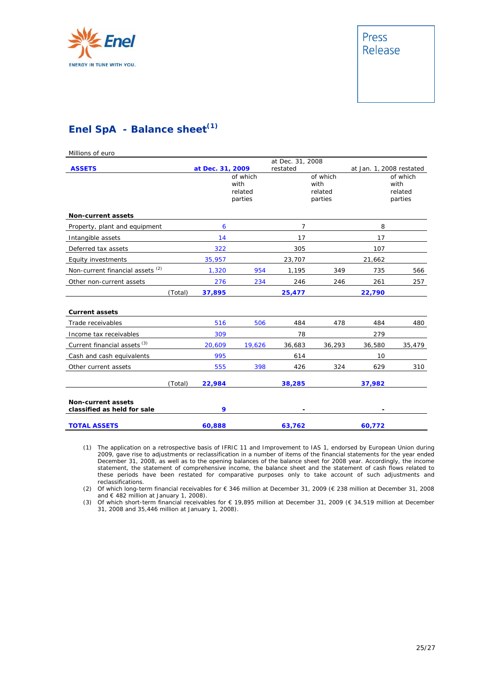

### **Enel SpA - Balance sheet(1)**

| Millions of euro                                         |         |                  |                                        |                              |                                        |        |                                        |
|----------------------------------------------------------|---------|------------------|----------------------------------------|------------------------------|----------------------------------------|--------|----------------------------------------|
| <b>ASSETS</b>                                            |         | at Dec. 31, 2009 |                                        | at Dec. 31, 2008<br>restated |                                        |        | at Jan. 1, 2008 restated               |
|                                                          |         |                  | of which<br>with<br>related<br>parties |                              | of which<br>with<br>related<br>parties |        | of which<br>with<br>related<br>parties |
| <b>Non-current assets</b>                                |         |                  |                                        |                              |                                        |        |                                        |
| Property, plant and equipment                            |         | 6                |                                        | $\overline{7}$               |                                        | 8      |                                        |
| Intangible assets                                        |         | 14               |                                        | 17                           |                                        | 17     |                                        |
| Deferred tax assets                                      |         | 322              |                                        | 305                          |                                        | 107    |                                        |
| Equity investments                                       |         | 35,957           |                                        | 23,707                       |                                        | 21,662 |                                        |
| Non-current financial assets <sup>(2)</sup>              |         | 1,320            | 954                                    | 1,195                        | 349                                    | 735    | 566                                    |
| Other non-current assets                                 |         | 276              | 234                                    | 246                          | 246                                    | 261    | 257                                    |
|                                                          | (Total) | 37,895           |                                        | 25,477                       |                                        | 22,790 |                                        |
| <b>Current assets</b>                                    |         |                  |                                        |                              |                                        |        |                                        |
| Trade receivables                                        |         | 516              | 506                                    | 484                          | 478                                    | 484    | 480                                    |
| Income tax receivables                                   |         | 309              |                                        | 78                           |                                        | 279    |                                        |
| Current financial assets <sup>(3)</sup>                  |         | 20,609           | 19,626                                 | 36,683                       | 36,293                                 | 36,580 | 35,479                                 |
| Cash and cash equivalents                                |         | 995              |                                        | 614                          |                                        | 10     |                                        |
| Other current assets                                     |         | 555              | 398                                    | 426                          | 324                                    | 629    | 310                                    |
|                                                          | (Total) | 22,984           |                                        | 38,285                       |                                        | 37,982 |                                        |
| <b>Non-current assets</b><br>classified as held for sale |         | 9                |                                        |                              |                                        |        |                                        |
| <b>TOTAL ASSETS</b>                                      |         | 60,888           |                                        | 63,762                       |                                        | 60,772 |                                        |

(1) The application on a retrospective basis of IFRIC 11 and Improvement to IAS 1, endorsed by European Union during 2009, gave rise to adjustments or reclassification in a number of items of the financial statements for the year ended December 31, 2008, as well as to the opening balances of the balance sheet for 2008 year. Accordingly, the income statement, the statement of comprehensive income, the balance sheet and the statement of cash flows related to these periods have been restated for comparative purposes only to take account of such adjustments and reclassifications.

(2) Of which long-term financial receivables for € 346 million at December 31, 2009 (€ 238 million at December 31, 2008 and € 482 million at January 1, 2008).

(3) Of which short-term financial receivables for € 19,895 million at December 31, 2009 (€ 34,519 million at December 31, 2008 and 35,446 million at January 1, 2008).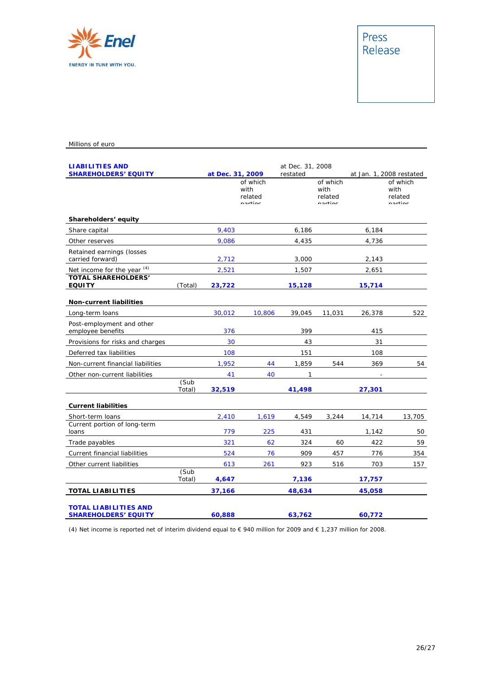

#### Millions of euro

| <b>LIABILITIES AND</b><br><b>SHAREHOLDERS' EQUITY</b>       |                | at Dec. 31, 2009 |                                        | at Dec. 31, 2008<br>restated |                                        |        | at Jan. 1, 2008 restated               |
|-------------------------------------------------------------|----------------|------------------|----------------------------------------|------------------------------|----------------------------------------|--------|----------------------------------------|
|                                                             |                |                  | of which<br>with<br>related<br>nartiac |                              | of which<br>with<br>related<br>nartiac |        | of which<br>with<br>related<br>nartiac |
| Shareholders' equity                                        |                |                  |                                        |                              |                                        |        |                                        |
| Share capital                                               |                | 9,403            |                                        | 6,186                        |                                        | 6,184  |                                        |
| Other reserves                                              |                | 9,086            |                                        | 4,435                        |                                        | 4,736  |                                        |
| Retained earnings (losses<br>carried forward)               |                | 2,712            |                                        | 3,000                        |                                        | 2,143  |                                        |
| Net income for the year (4)                                 |                | 2,521            |                                        | 1,507                        |                                        | 2,651  |                                        |
| <b>TOTAL SHAREHOLDERS'</b><br><b>EQUITY</b>                 | (Total)        | 23,722           |                                        | 15,128                       |                                        | 15,714 |                                        |
| <b>Non-current liabilities</b>                              |                |                  |                                        |                              |                                        |        |                                        |
| Long-term loans                                             |                | 30,012           | 10,806                                 | 39,045                       | 11,031                                 | 26,378 | 522                                    |
| Post-employment and other<br>employee benefits              |                | 376              |                                        | 399                          |                                        | 415    |                                        |
| Provisions for risks and charges                            |                | 30               |                                        | 43                           |                                        | 31     |                                        |
| Deferred tax liabilities                                    |                | 108              |                                        | 151                          |                                        | 108    |                                        |
| Non-current financial liabilities                           |                | 1,952            | 44                                     | 1,859                        | 544                                    | 369    | 54                                     |
| Other non-current liabilities                               |                | 41               | 40                                     | 1                            |                                        |        |                                        |
|                                                             | (Sub<br>Total) | 32,519           |                                        | 41,498                       |                                        | 27,301 |                                        |
| <b>Current liabilities</b>                                  |                |                  |                                        |                              |                                        |        |                                        |
| Short-term loans                                            |                | 2,410            | 1,619                                  | 4,549                        | 3,244                                  | 14,714 | 13,705                                 |
| Current portion of long-term<br>loans                       |                | 779              | 225                                    | 431                          |                                        | 1,142  | 50                                     |
| Trade payables                                              |                | 321              | 62                                     | 324                          | 60                                     | 422    | 59                                     |
| Current financial liabilities                               |                | 524              | 76                                     | 909                          | 457                                    | 776    | 354                                    |
| Other current liabilities                                   |                | 613              | 261                                    | 923                          | 516                                    | 703    | 157                                    |
|                                                             | (Sub<br>Total) | 4,647            |                                        | 7,136                        |                                        | 17,757 |                                        |
| <b>TOTAL LIABILITIES</b>                                    |                | 37,166           |                                        | 48,634                       |                                        | 45,058 |                                        |
| <b>TOTAL LIABILITIES AND</b><br><b>SHAREHOLDERS' EQUITY</b> |                | 60,888           |                                        | 63,762                       |                                        | 60,772 |                                        |

(4) Net income is reported net of interim dividend equal to € 940 million for 2009 and € 1,237 million for 2008.